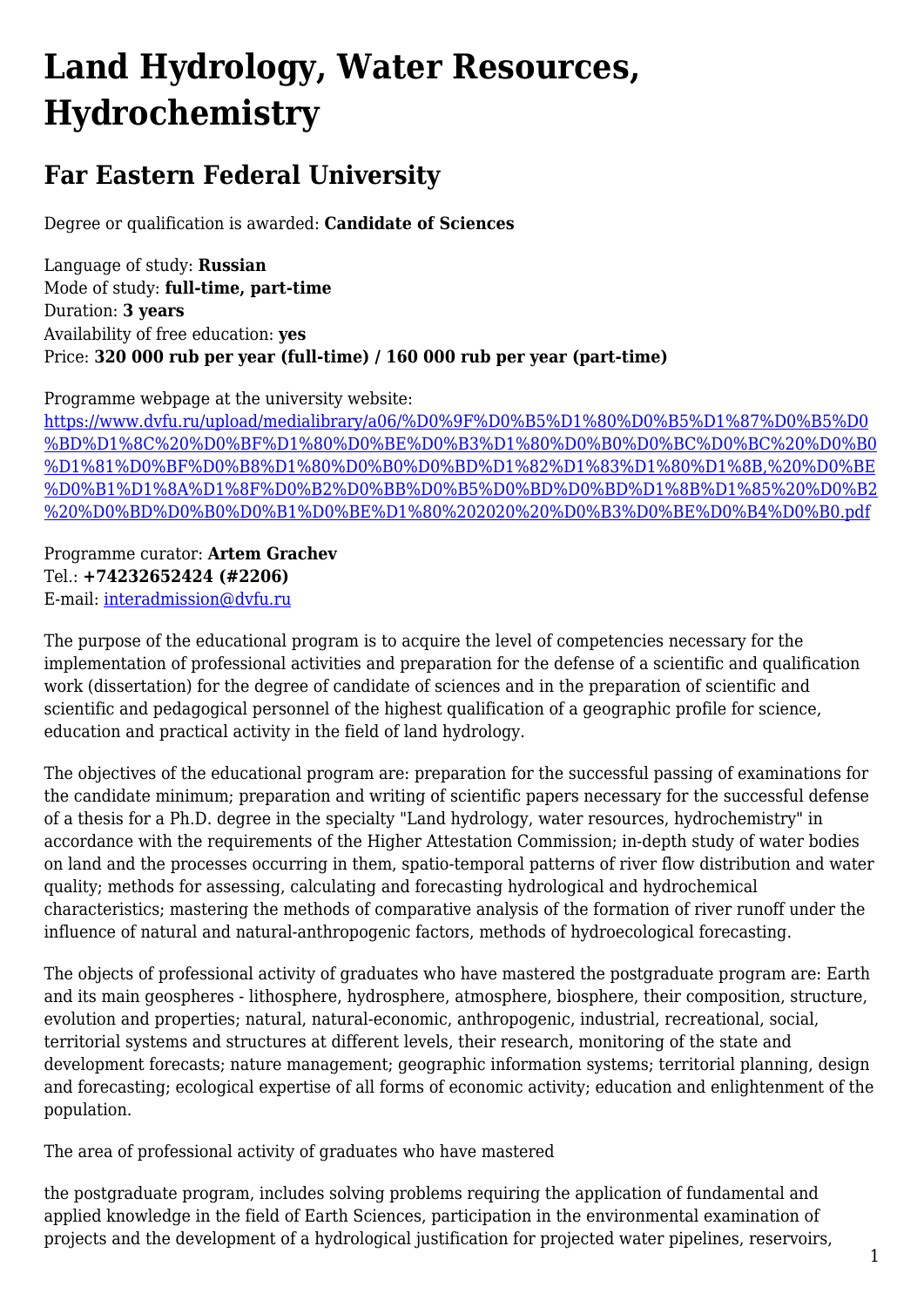## **Land Hydrology, Water Resources, Hydrochemistry**

## **Far Eastern Federal University**

Degree or qualification is awarded: **Candidate of Sciences**

Language of study: **Russian** Mode of study: **full-time, part-time** Duration: **3 years** Availability of free education: **yes** Price: **320 000 rub per year (full-time) / 160 000 rub per year (part-time)**

Programme webpage at the university website:

[https://www.dvfu.ru/upload/medialibrary/a06/%D0%9F%D0%B5%D1%80%D0%B5%D1%87%D0%B5%D0](https://www.dvfu.ru/upload/medialibrary/a06/%D0%9F%D0%B5%D1%80%D0%B5%D1%87%D0%B5%D0%BD%D1%8C%20%D0%BF%D1%80%D0%BE%D0%B3%D1%80%D0%B0%D0%BC%D0%BC%20%D0%B0%D1%81%D0%BF%D0%B8%D1%80%D0%B0%D0%BD%D1%82%D1%83%D1%80%D1%8B,%20%D0%BE%D0%B1%D1%8A%D1%8F%D0%B2%D0%BB%D0%B5%D0%BD%D0%BD%D1%8B%D1%85%20%D0%B2%20%D0%BD%D0%B0%D0%B1%D0%BE%D1%80%202020%20%D0%B3%D0%BE%D0%B4%D0%B0.pdf) [%BD%D1%8C%20%D0%BF%D1%80%D0%BE%D0%B3%D1%80%D0%B0%D0%BC%D0%BC%20%D0%B0](https://www.dvfu.ru/upload/medialibrary/a06/%D0%9F%D0%B5%D1%80%D0%B5%D1%87%D0%B5%D0%BD%D1%8C%20%D0%BF%D1%80%D0%BE%D0%B3%D1%80%D0%B0%D0%BC%D0%BC%20%D0%B0%D1%81%D0%BF%D0%B8%D1%80%D0%B0%D0%BD%D1%82%D1%83%D1%80%D1%8B,%20%D0%BE%D0%B1%D1%8A%D1%8F%D0%B2%D0%BB%D0%B5%D0%BD%D0%BD%D1%8B%D1%85%20%D0%B2%20%D0%BD%D0%B0%D0%B1%D0%BE%D1%80%202020%20%D0%B3%D0%BE%D0%B4%D0%B0.pdf) [%D1%81%D0%BF%D0%B8%D1%80%D0%B0%D0%BD%D1%82%D1%83%D1%80%D1%8B,%20%D0%BE](https://www.dvfu.ru/upload/medialibrary/a06/%D0%9F%D0%B5%D1%80%D0%B5%D1%87%D0%B5%D0%BD%D1%8C%20%D0%BF%D1%80%D0%BE%D0%B3%D1%80%D0%B0%D0%BC%D0%BC%20%D0%B0%D1%81%D0%BF%D0%B8%D1%80%D0%B0%D0%BD%D1%82%D1%83%D1%80%D1%8B,%20%D0%BE%D0%B1%D1%8A%D1%8F%D0%B2%D0%BB%D0%B5%D0%BD%D0%BD%D1%8B%D1%85%20%D0%B2%20%D0%BD%D0%B0%D0%B1%D0%BE%D1%80%202020%20%D0%B3%D0%BE%D0%B4%D0%B0.pdf) [%D0%B1%D1%8A%D1%8F%D0%B2%D0%BB%D0%B5%D0%BD%D0%BD%D1%8B%D1%85%20%D0%B2](https://www.dvfu.ru/upload/medialibrary/a06/%D0%9F%D0%B5%D1%80%D0%B5%D1%87%D0%B5%D0%BD%D1%8C%20%D0%BF%D1%80%D0%BE%D0%B3%D1%80%D0%B0%D0%BC%D0%BC%20%D0%B0%D1%81%D0%BF%D0%B8%D1%80%D0%B0%D0%BD%D1%82%D1%83%D1%80%D1%8B,%20%D0%BE%D0%B1%D1%8A%D1%8F%D0%B2%D0%BB%D0%B5%D0%BD%D0%BD%D1%8B%D1%85%20%D0%B2%20%D0%BD%D0%B0%D0%B1%D0%BE%D1%80%202020%20%D0%B3%D0%BE%D0%B4%D0%B0.pdf) [%20%D0%BD%D0%B0%D0%B1%D0%BE%D1%80%202020%20%D0%B3%D0%BE%D0%B4%D0%B0.pdf](https://www.dvfu.ru/upload/medialibrary/a06/%D0%9F%D0%B5%D1%80%D0%B5%D1%87%D0%B5%D0%BD%D1%8C%20%D0%BF%D1%80%D0%BE%D0%B3%D1%80%D0%B0%D0%BC%D0%BC%20%D0%B0%D1%81%D0%BF%D0%B8%D1%80%D0%B0%D0%BD%D1%82%D1%83%D1%80%D1%8B,%20%D0%BE%D0%B1%D1%8A%D1%8F%D0%B2%D0%BB%D0%B5%D0%BD%D0%BD%D1%8B%D1%85%20%D0%B2%20%D0%BD%D0%B0%D0%B1%D0%BE%D1%80%202020%20%D0%B3%D0%BE%D0%B4%D0%B0.pdf)

Programme curator: **Artem Grachev** Tel.: **+74232652424 (#2206)** E-mail: [interadmission@dvfu.ru](mailto:interadmission@dvfu.ru)

The purpose of the educational program is to acquire the level of competencies necessary for the implementation of professional activities and preparation for the defense of a scientific and qualification work (dissertation) for the degree of candidate of sciences and in the preparation of scientific and scientific and pedagogical personnel of the highest qualification of a geographic profile for science, education and practical activity in the field of land hydrology.

The objectives of the educational program are: preparation for the successful passing of examinations for the candidate minimum; preparation and writing of scientific papers necessary for the successful defense of a thesis for a Ph.D. degree in the specialty "Land hydrology, water resources, hydrochemistry" in accordance with the requirements of the Higher Attestation Commission; in-depth study of water bodies on land and the processes occurring in them, spatio-temporal patterns of river flow distribution and water quality; methods for assessing, calculating and forecasting hydrological and hydrochemical characteristics; mastering the methods of comparative analysis of the formation of river runoff under the influence of natural and natural-anthropogenic factors, methods of hydroecological forecasting.

The objects of professional activity of graduates who have mastered the postgraduate program are: Earth and its main geospheres - lithosphere, hydrosphere, atmosphere, biosphere, their composition, structure, evolution and properties; natural, natural-economic, anthropogenic, industrial, recreational, social, territorial systems and structures at different levels, their research, monitoring of the state and development forecasts; nature management; geographic information systems; territorial planning, design and forecasting; ecological expertise of all forms of economic activity; education and enlightenment of the population.

The area of professional activity of graduates who have mastered

the postgraduate program, includes solving problems requiring the application of fundamental and applied knowledge in the field of Earth Sciences, participation in the environmental examination of projects and the development of a hydrological justification for projected water pipelines, reservoirs,